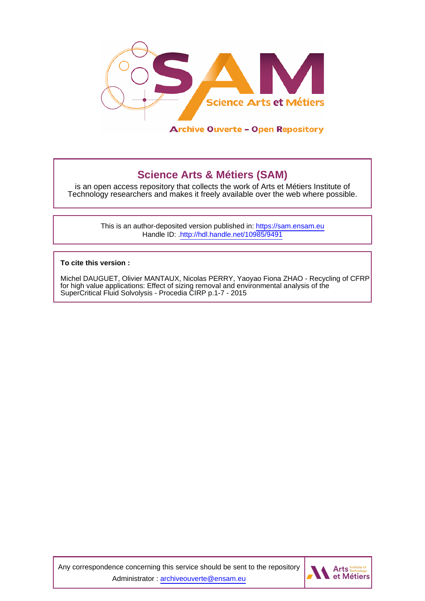

# **Science Arts & Métiers (SAM)**

is an open access repository that collects the work of Arts et Métiers Institute of Technology researchers and makes it freely available over the web where possible.

> This is an author-deposited version published in:<https://sam.ensam.eu> Handle ID: [.http://hdl.handle.net/10985/9491](http://hdl.handle.net/10985/9491)

**To cite this version :**

Michel DAUGUET, Olivier MANTAUX, Nicolas PERRY, Yaoyao Fiona ZHAO - Recycling of CFRP for high value applications: Effect of sizing removal and environmental analysis of the SuperCritical Fluid Solvolysis - Procedia CIRP p.1-7 - 2015

Any correspondence concerning this service should be sent to the repository Administrator : [archiveouverte@ensam.eu](mailto:archiveouverte@ensam.eu)

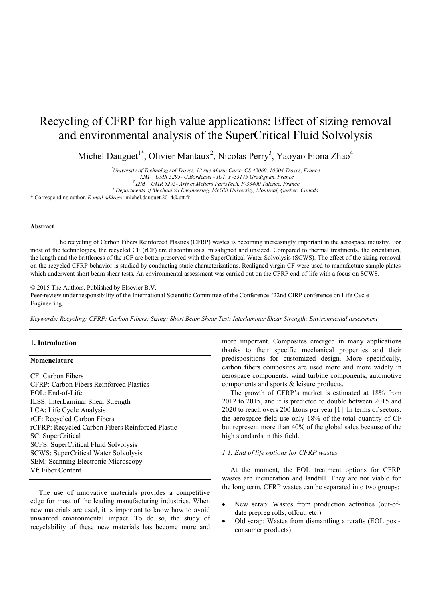# Recycling of CFRP for high value applications: Effect of sizing removal and environmental analysis of the SuperCritical Fluid Solvolysis

Michel Dauguet<sup>1\*</sup>, Olivier Mantaux<sup>2</sup>, Nicolas Perry<sup>3</sup>, Yaoyao Fiona Zhao<sup>4</sup>

*1 University of Technology of Troyes, 12 rue Marie-Curie, CS 42060, 10004 Troyes, France*

*2 I2M – UMR 5295- U.Bordeaux - IUT, F-33175 Gradignan, France*

*3 I2M – UMR 5295- Arts et Metiers ParisTech, F-33400 Talence, France 4 Departments of Mechanical Engineering, McGill University, Montreal, Quebec, Canada*

\* Corresponding author. *E-mail address:* michel.dauguet.2014@utt.fr

#### **Abstract**

The recycling of Carbon Fibers Reinforced Plastics (CFRP) wastes is becoming increasingly important in the aerospace industry. For most of the technologies, the recycled CF (rCF) are discontinuous, misaligned and unsized. Compared to thermal treatments, the orientation, the length and the brittleness of the rCF are better preserved with the SuperCritical Water Solvolysis (SCWS). The effect of the sizing removal on the recycled CFRP behavior is studied by conducting static characterizations. Realigned virgin CF were used to manufacture sample plates which underwent short beam shear tests. An environmental assessment was carried out on the CFRP end-of-life with a focus on SCWS.

© 2015 The Authors. Published by Elsevier B.V.

Peer-review under responsibility of the International Scientific Committee of the Conference "22nd CIRP conference on Life Cycle Engineering.

*Keywords: Recycling; CFRP; Carbon Fibers; Sizing; Short Beam Shear Test; Interlaminar Shear Strength; Environmental assessment*

## **1. Introduction**

#### **Nomenclature**

CF: Carbon Fibers CFRP: Carbon Fibers Reinforced Plastics EOL: End-of-Life ILSS: InterLaminar Shear Strength LCA: Life Cycle Analysis rCF: Recycled Carbon Fibers rCFRP: Recycled Carbon Fibers Reinforced Plastic SC: SuperCritical SCFS: SuperCritical Fluid Solvolysis SCWS: SuperCritical Water Solvolysis SEM: Scanning Electronic Microscopy Vf: Fiber Content

The use of innovative materials provides a competitive edge for most of the leading manufacturing industries. When new materials are used, it is important to know how to avoid unwanted environmental impact. To do so, the study of recyclability of these new materials has become more and more important. Composites emerged in many applications thanks to their specific mechanical properties and their predispositions for customized design. More specifically, carbon fibers composites are used more and more widely in aerospace components, wind turbine components, automotive components and sports & leisure products.

The growth of CFRP's market is estimated at 18% from 2012 to 2015, and it is predicted to double between 2015 and 2020 to reach overs 200 ktons per year [1]. In terms of sectors, the aerospace field use only 18% of the total quantity of CF but represent more than 40% of the global sales because of the high standards in this field.

### *1.1. End of life options for CFRP wastes*

At the moment, the EOL treatment options for CFRP wastes are incineration and landfill. They are not viable for the long term. CFRP wastes can be separated into two groups:

- New scrap: Wastes from production activities (out-ofdate prepreg rolls, offcut, etc.)
- Old scrap: Wastes from dismantling aircrafts (EOL postconsumer products)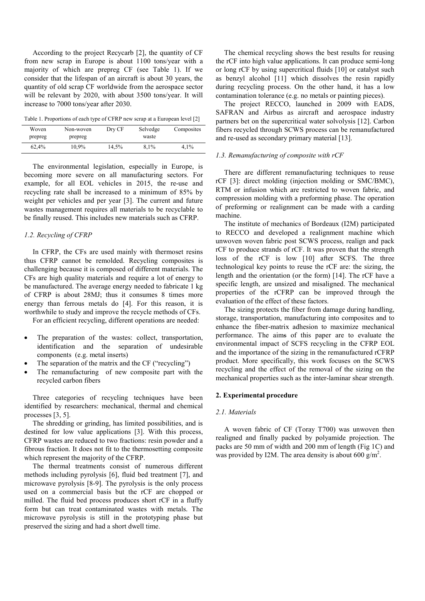According to the project Recycarb [2], the quantity of CF from new scrap in Europe is about 1100 tons/year with a majority of which are prepreg CF (see Table 1). If we consider that the lifespan of an aircraft is about 30 years, the quantity of old scrap CF worldwide from the aerospace sector will be relevant by 2020, with about 3500 tons/year. It will increase to 7000 tons/year after 2030.

Table 1. Proportions of each type of CFRP new scrap at a European level [2]

| Woven<br>prepreg | Non-woven<br>prepreg | Dry CF | Selvedge<br>waste | Composites |
|------------------|----------------------|--------|-------------------|------------|
| 62.4%            | 10.9%                | 14.5%  | 8,1%              | 4.1%       |

The environmental legislation, especially in Europe, is becoming more severe on all manufacturing sectors. For example, for all EOL vehicles in 2015, the re-use and recycling rate shall be increased to a minimum of 85% by weight per vehicles and per year [3]. The current and future wastes management requires all materials to be recyclable to be finally reused. This includes new materials such as CFRP.

## *1.2. Recycling of CFRP*

In CFRP, the CFs are used mainly with thermoset resins thus CFRP cannot be remolded. Recycling composites is challenging because it is composed of different materials. The CFs are high quality materials and require a lot of energy to be manufactured. The average energy needed to fabricate 1 kg of CFRP is about 28MJ; thus it consumes 8 times more energy than ferrous metals do [4]. For this reason, it is worthwhile to study and improve the recycle methods of CFs.

For an efficient recycling, different operations are needed:

- The preparation of the wastes: collect, transportation, identification and the separation of undesirable components (e.g. metal inserts)
- The separation of the matrix and the CF ("recycling")
- The remanufacturing of new composite part with the recycled carbon fibers

Three categories of recycling techniques have been identified by researchers: mechanical, thermal and chemical processes [3, 5].

The shredding or grinding, has limited possibilities, and is destined for low value applications [3]. With this process, CFRP wastes are reduced to two fractions: resin powder and a fibrous fraction. It does not fit to the thermosetting composite which represent the majority of the CFRP.

The thermal treatments consist of numerous different methods including pyrolysis [6], fluid bed treatment [7], and microwave pyrolysis [8-9]. The pyrolysis is the only process used on a commercial basis but the rCF are chopped or milled. The fluid bed process produces short rCF in a fluffy form but can treat contaminated wastes with metals. The microwave pyrolysis is still in the prototyping phase but preserved the sizing and had a short dwell time.

The chemical recycling shows the best results for reusing the rCF into high value applications. It can produce semi-long or long rCF by using supercritical fluids [10] or catalyst such as benzyl alcohol [11] which dissolves the resin rapidly during recycling process. On the other hand, it has a low contamination tolerance (e.g. no metals or painting pieces).

The project RECCO, launched in 2009 with EADS, SAFRAN and Airbus as aircraft and aerospace industry partners bet on the supercritical water solvolysis [12]. Carbon fibers recycled through SCWS process can be remanufactured and re-used as secondary primary material [13].

#### *1.3. Remanufacturing of composite with rCF*

There are different remanufacturing techniques to reuse rCF [3]: direct molding (injection molding or SMC/BMC), RTM or infusion which are restricted to woven fabric, and compression molding with a preforming phase. The operation of preforming or realignment can be made with a carding machine.

The institute of mechanics of Bordeaux (I2M) participated to RECCO and developed a realignment machine which unwoven woven fabric post SCWS process, realign and pack rCF to produce strands of rCF. It was proven that the strength loss of the rCF is low [10] after SCFS. The three technological key points to reuse the rCF are: the sizing, the length and the orientation (or the form) [14]. The rCF have a specific length, are unsized and misaligned. The mechanical properties of the rCFRP can be improved through the evaluation of the effect of these factors.

The sizing protects the fiber from damage during handling, storage, transportation, manufacturing into composites and to enhance the fiber-matrix adhesion to maximize mechanical performance. The aims of this paper are to evaluate the environmental impact of SCFS recycling in the CFRP EOL and the importance of the sizing in the remanufactured rCFRP product. More specifically, this work focuses on the SCWS recycling and the effect of the removal of the sizing on the mechanical properties such as the inter-laminar shear strength.

### **2. Experimental procedure**

#### *2.1. Materials*

A woven fabric of CF (Toray T700) was unwoven then realigned and finally packed by polyamide projection. The packs are 50 mm of width and 200 mm of length (Fig 1C) and was provided by I2M. The area density is about 600  $g/m^2$ .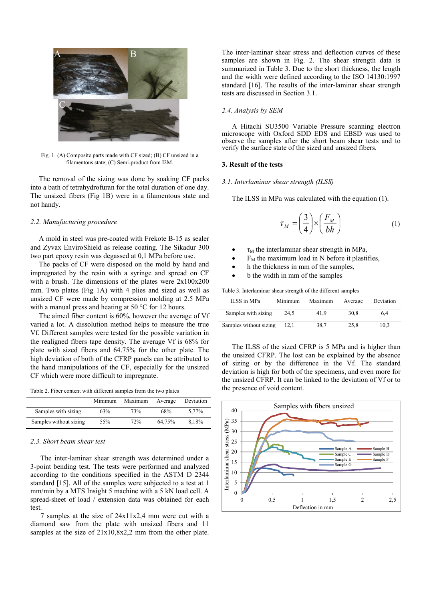

Fig. 1. (A) Composite parts made with CF sized; (B) CF unsized in a filamentous state; (C) Semi-product from I2M.

The removal of the sizing was done by soaking CF packs into a bath of tetrahydrofuran for the total duration of one day. The unsized fibers (Fig 1B) were in a filamentous state and not handy.

### *2.2. Manufacturing procedure*

A mold in steel was pre-coated with Frekote B-15 as sealer and Zyvax EnviroShield as release coating. The Sikadur 300 two part epoxy resin was degassed at 0,1 MPa before use.

The packs of CF were disposed on the mold by hand and impregnated by the resin with a syringe and spread on CF with a brush. The dimensions of the plates were 2x100x200 mm. Two plates (Fig 1A) with 4 plies and sized as well as unsized CF were made by compression molding at 2.5 MPa with a manual press and heating at 50 °C for 12 hours.

The aimed fiber content is 60%, however the average of Vf varied a lot. A dissolution method helps to measure the true Vf. Different samples were tested for the possible variation in the realigned fibers tape density. The average Vf is 68% for plate with sized fibers and 64.75% for the other plate. The high deviation of both of the CFRP panels can be attributed to the hand manipulations of the CF, especially for the unsized CF which were more difficult to impregnate.

Table 2. Fiber content with different samples from the two plates

|                        | Minimum | Maximum | Average | Deviation |
|------------------------|---------|---------|---------|-----------|
| Samples with sizing    | 63%     | 73%     | 68%     | 5.77%     |
| Samples without sizing | 55%     | 72%     | 64.75%  | 8.18%     |

## *2.3. Short beam shear test*

The inter-laminar shear strength was determined under a 3-point bending test. The tests were performed and analyzed according to the conditions specified in the ASTM D 2344 standard [15]. All of the samples were subjected to a test at 1 mm/min by a MTS Insight 5 machine with a 5 kN load cell. A spread-sheet of load / extension data was obtained for each test.

7 samples at the size of 24x11x2,4 mm were cut with a diamond saw from the plate with unsized fibers and 11 samples at the size of  $21x10,8x2,2$  mm from the other plate.

The inter-laminar shear stress and deflection curves of these samples are shown in Fig. 2. The shear strength data is summarized in Table 3. Due to the short thickness, the length and the width were defined according to the ISO 14130:1997 standard [16]. The results of the inter-laminar shear strength tests are discussed in Section 3.1.

### *2.4. Analysis by SEM*

A Hitachi SU3500 Variable Pressure scanning electron microscope with Oxford SDD EDS and EBSD was used to observe the samples after the short beam shear tests and to verify the surface state of the sized and unsized fibers.

#### **3. Result of the tests**

#### *3.1. Interlaminar shear strength (ILSS)*

The ILSS in MPa was calculated with the equation (1).

$$
\tau_M = \left(\frac{3}{4}\right) \times \left(\frac{F_M}{bh}\right) \tag{1}
$$

- $\tau_M$  the interlaminar shear strength in MPa,
- $F_M$  the maximum load in N before it plastifies,
- h the thickness in mm of the samples,
- b the width in mm of the samples

Table 3. Interlaminar shear strength of the different samples

| ILSS in MPa            | Minimum | Maximum | Average | Deviation |
|------------------------|---------|---------|---------|-----------|
| Samples with sizing    | 24.5    | 41.9    | 30.8    | 6.4       |
| Samples without sizing | 12.1    | 38.7    | 25.8    | 10.3      |

The ILSS of the sized CFRP is 5 MPa and is higher than the unsized CFRP. The lost can be explained by the absence of sizing or by the difference in the Vf. The standard deviation is high for both of the specimens, and even more for the unsized CFRP. It can be linked to the deviation of Vf or to the presence of void content.

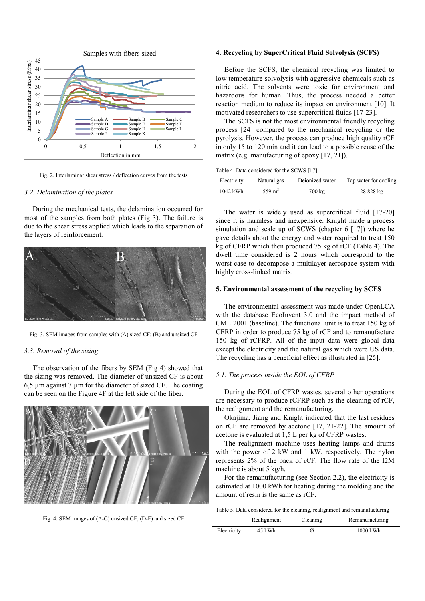

Fig. 2. Interlaminar shear stress / deflection curves from the tests

#### *3.2. Delamination of the plates*

During the mechanical tests, the delamination occurred for most of the samples from both plates (Fig 3). The failure is due to the shear stress applied which leads to the separation of the layers of reinforcement.



Fig. 3. SEM images from samples with (A) sized CF; (B) and unsized CF

#### *3.3. Removal of the sizing*

The observation of the fibers by SEM (Fig 4) showed that the sizing was removed. The diameter of unsized CF is about 6,5 µm against 7 µm for the diameter of sized CF. The coating can be seen on the Figure 4F at the left side of the fiber.



Fig. 4. SEM images of (A-C) unsized CF; (D-F) and sized CF

#### **4. Recycling by SuperCritical Fluid Solvolysis (SCFS)**

Before the SCFS, the chemical recycling was limited to low temperature solvolysis with aggressive chemicals such as nitric acid. The solvents were toxic for environment and hazardous for human. Thus, the process needed a better reaction medium to reduce its impact on environment [10]. It motivated researchers to use supercritical fluids [17-23].

The SCFS is not the most environmental friendly recycling process [24] compared to the mechanical recycling or the pyrolysis. However, the process can produce high quality rCF in only 15 to 120 min and it can lead to a possible reuse of the matrix (e.g. manufacturing of epoxy [17, 21]).

Table 4. Data considered for the SCWS [17]

| Electricity | Natural gas       | Deionized water  | Tap water for cooling |
|-------------|-------------------|------------------|-----------------------|
| 1042 kWh    | $559 \text{ m}^3$ | $700 \text{ kg}$ | 28 828 kg             |

The water is widely used as supercritical fluid [17-20] since it is harmless and inexpensive. Knight made a process simulation and scale up of SCWS (chapter 6 [17]) where he gave details about the energy and water required to treat 150 kg of CFRP which then produced 75 kg of rCF (Table 4). The dwell time considered is 2 hours which correspond to the worst case to decompose a multilayer aerospace system with highly cross-linked matrix.

#### **5. Environmental assessment of the recycling by SCFS**

The environmental assessment was made under OpenLCA with the database EcoInvent 3.0 and the impact method of CML 2001 (baseline). The functional unit is to treat 150 kg of CFRP in order to produce 75 kg of rCF and to remanufacture 150 kg of rCFRP. All of the input data were global data except the electricity and the natural gas which were US data. The recycling has a beneficial effect as illustrated in [25].

#### *5.1. The process inside the EOL of CFRP*

During the EOL of CFRP wastes, several other operations are necessary to produce rCFRP such as the cleaning of rCF, the realignment and the remanufacturing.

Okajima, Jiang and Knight indicated that the last residues on rCF are removed by acetone [17, 21-22]. The amount of acetone is evaluated at 1,5 L per kg of CFRP wastes.

The realignment machine uses heating lamps and drums with the power of 2 kW and 1 kW, respectively. The nylon represents 2% of the pack of rCF. The flow rate of the I2M machine is about 5 kg/h.

For the remanufacturing (see Section 2.2), the electricity is estimated at 1000 kWh for heating during the molding and the amount of resin is the same as rCF.

|  |  |  | Table 5. Data considered for the cleaning, realignment and remanufacturing |
|--|--|--|----------------------------------------------------------------------------|
|  |  |  |                                                                            |

|             | Realignment | Cleaning | Remanufacturing |
|-------------|-------------|----------|-----------------|
| Electricity | 45 kWh      |          | $1000$ kWh      |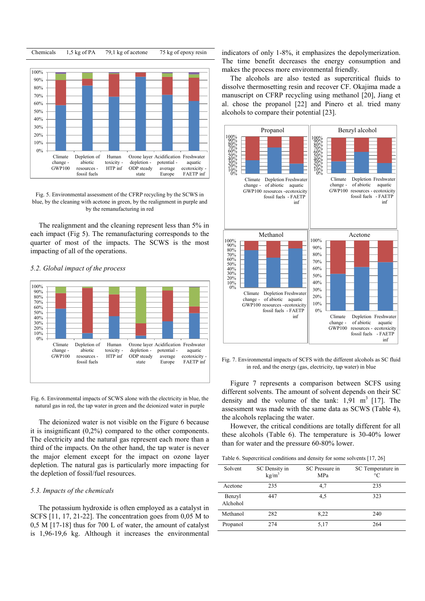



Fig. 5. Environmental assessment of the CFRP recycling by the SCWS in blue, by the cleaning with acetone in green, by the realignment in purple and by the remanufacturing in red

The realignment and the cleaning represent less than 5% in each impact (Fig 5). The remanufacturing corresponds to the quarter of most of the impacts. The SCWS is the most impacting of all of the operations.

## *5.2. Global impact of the process*



Fig. 6. Environmental impacts of SCWS alone with the electricity in blue, the natural gas in red, the tap water in green and the deionized water in purple

The deionized water is not visible on the Figure 6 because it is insignificant (0,2%) compared to the other components. The electricity and the natural gas represent each more than a third of the impacts. On the other hand, the tap water is never the major element except for the impact on ozone layer depletion. The natural gas is particularly more impacting for the depletion of fossil/fuel resources.

#### *5.3. Impacts of the chemicals*

The potassium hydroxide is often employed as a catalyst in SCFS [11, 17, 21-22]. The concentration goes from 0,05 M to 0,5 M [17-18] thus for 700 L of water, the amount of catalyst is 1,96-19,6 kg. Although it increases the environmental indicators of only 1-8%, it emphasizes the depolymerization. The time benefit decreases the energy consumption and makes the process more environmental friendly.

The alcohols are also tested as supercritical fluids to dissolve thermosetting resin and recover CF. Okajima made a manuscript on CFRP recycling using methanol [20], Jiang et al. chose the propanol [22] and Pinero et al. tried many alcohols to compare their potential [23].



Fig. 7. Environmental impacts of SCFS with the different alcohols as SC fluid in red, and the energy (gas, electricity, tap water) in blue

Figure 7 represents a comparison between SCFS using different solvents. The amount of solvent depends on their SC density and the volume of the tank:  $1,91 \text{ m}^3$  [17]. The assessment was made with the same data as SCWS (Table 4), the alcohols replacing the water.

However, the critical conditions are totally different for all these alcohols (Table 6). The temperature is 30-40% lower than for water and the pressure 60-80% lower.

Table 6. Supercritical conditions and density for some solvents [17, 26]

| Solvent            | SC Density in<br>kg/m <sup>3</sup> | SC Pressure in<br>MPa | SC Temperature in<br>°C |
|--------------------|------------------------------------|-----------------------|-------------------------|
| Acetone            | 235                                | 4,7                   | 235                     |
| Benzyl<br>Alchohol | 447                                | 4,5                   | 323                     |
| Methanol           | 282                                | 8,22                  | 240                     |
| Propanol           | 274                                | 5,17                  | 264                     |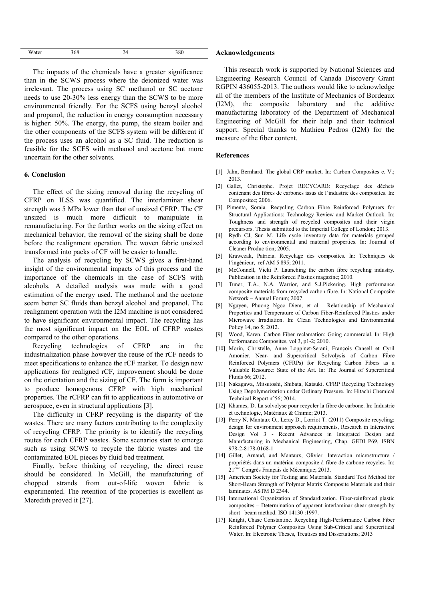| ---<br>Water<br>$\cdots$ | 368 | $\sim$ | 380 |
|--------------------------|-----|--------|-----|
|                          |     |        |     |

The impacts of the chemicals have a greater significance than in the SCWS process where the deionized water was irrelevant. The process using SC methanol or SC acetone needs to use 20-30% less energy than the SCWS to be more environmental friendly. For the SCFS using benzyl alcohol and propanol, the reduction in energy consumption necessary is higher: 50%. The energy, the pump, the steam boiler and the other components of the SCFS system will be different if the process uses an alcohol as a SC fluid. The reduction is feasible for the SCFS with methanol and acetone but more uncertain for the other solvents.

## **6. Conclusion**

The effect of the sizing removal during the recycling of CFRP on ILSS was quantified. The interlaminar shear strength was 5 MPa lower than that of unsized CFRP. The CF unsized is much more difficult to manipulate in remanufacturing. For the further works on the sizing effect on mechanical behavior, the removal of the sizing shall be done before the realignment operation. The woven fabric unsized transformed into packs of CF will be easier to handle.

The analysis of recycling by SCWS gives a first-hand insight of the environmental impacts of this process and the importance of the chemicals in the case of SCFS with alcohols. A detailed analysis was made with a good estimation of the energy used. The methanol and the acetone seem better SC fluids than benzyl alcohol and propanol. The realignment operation with the I2M machine is not considered to have significant environmental impact. The recycling has the most significant impact on the EOL of CFRP wastes compared to the other operations.

Recycling technologies of CFRP are in the industrialization phase however the reuse of the rCF needs to meet specifications to enhance the rCF market. To design new applications for realigned rCF, improvement should be done on the orientation and the sizing of CF. The form is important to produce homogenous CFRP with high mechanical properties. The rCFRP can fit to applications in automotive or aerospace, even in structural applications [3].

The difficulty in CFRP recycling is the disparity of the wastes. There are many factors contributing to the complexity of recycling CFRP. The priority is to identify the recycling routes for each CFRP wastes. Some scenarios start to emerge such as using SCWS to recycle the fabric wastes and the contaminated EOL pieces by fluid bed treatment.

Finally, before thinking of recycling, the direct reuse should be considered. In McGill, the manufacturing of chopped strands from out-of-life woven fabric is experimented. The retention of the properties is excellent as Meredith proved it [27].

#### **Acknowledgements**

This research work is supported by National Sciences and Engineering Research Council of Canada Discovery Grant RGPIN 436055-2013. The authors would like to acknowledge all of the members of the Institute of Mechanics of Bordeaux (I2M), the composite laboratory and the additive manufacturing laboratory of the Department of Mechanical Engineering of McGill for their help and their technical support. Special thanks to Mathieu Pedros (I2M) for the measure of the fiber content.

#### **References**

- [1] Jahn, Bernhard. The global CRP market. In: Carbon Composites e. V.; 2013.
- [2] Gallet, Christophe. Projet RECYCARB: Recyclage des déchets contenant des fibres de carbones issus de l'industrie des composites. In: Compositec; 2006.
- [3] Pimenta, Soraia. Recycling Carbon Fibre Reinforced Polymers for Structural Applications: Technology Review and Market Outlook. In: Toughness and strength of recycled composites and their virgin precursors. Thesis submitted to the Imperial College of London; 2013.
- [4] Rydh CJ, Sun M. Life cycle inventory data for materials grouped according to environmental and material properties. In: Journal of Cleaner Produc tion; 2005.
- [5] Krawczak, Patricia. Recyclage des composites. In: Techniques de l'ingénieur, ref AM 5 895; 2011.
- [6] McConnell, Vicki P. Launching the carbon fibre recycling industry. Publication in the Reinforced Plastics magazine; 2010.
- [7] Tuner, T.A., N.A. Warrior, and S.J.Pickering. High performance composite materials from recycled carbon fibre. In: National Composite Network – Annual Forum; 2007.
- [8] Nguyen, Phuong Ngoc Diem, et al. Relationship of Mechanical Properties and Temperature of Carbon Fiber-Reinforced Plastics under Microwave Irradiation. In: Clean Technologies and Environmental Policy 14, no 5; 2012.
- Wood, Karen. Carbon Fiber reclamation: Going commercial. In: High Performance Composites, vol 3, p1-2; 2010.
- [10] Morin, Christelle, Anne Loppinet-Serani, François Cansell et Cyril Amonier. Near- and Supercritical Solvolysis of Carbon Fibre Reinforced Polymers (CFRPs) for Recycling Carbon Fibers as a Valuable Resource: State of the Art. In: The Journal of Supercritical Fluids 66; 2012.
- [11] Nakagawa, Mitsutoshi, Shibata, Katsuki. CFRP Recycling Technology Using Depolymerization under Ordinary Pressure. In: Hitachi Chemical Technical Report n°56; 2014.
- [12] Khames, D. La solvolyse pour recycler la fibre de carbone. In: Industrie et technologie, Matériaux & Chimie; 2013.
- [13] Perry N, Mantaux O., Leray D., Lorriot T. (2011) Composite recycling: design for environment approach requirements, Research in Interactive Design Vol 3 - Recent Advances in Integrated Design and Manufacturing in Mechanical Engineering, Chap. GEDI P69, ISBN 978-2-8178-0168-1
- [14] Gillet, Arnaud, and Mantaux, Olivier. Interaction microstructure / propriétés dans un matériau composite à fibre de carbone recycles. In: 21ème Congrès Français de Mécanique; 2013.
- [15] American Society for Testing and Materials. Standard Test Method for Short-Beam Strength of Polymer Matrix Composite Materials and their laminates. ASTM D 2344.
- [16] International Organization of Standardization. Fiber-reinforced plastic composites – Determination of apparent interlaminar shear strength by short –beam method. ISO 14130 :1997.
- [17] Knight, Chase Constantine. Recycling High-Performance Carbon Fiber Reinforced Polymer Composites Using Sub-Critical and Supercritical Water. In: Electronic Theses, Treatises and Dissertations; 2013